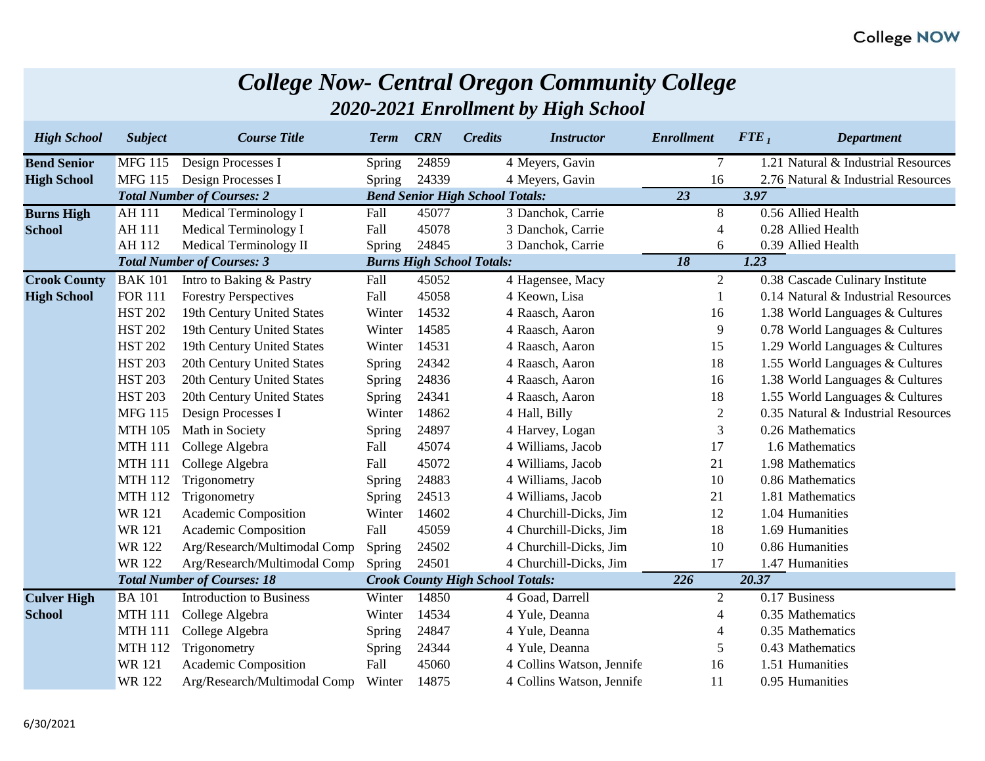|  | <b>College Now- Central Oregon Community College</b> |  |  |
|--|------------------------------------------------------|--|--|
|--|------------------------------------------------------|--|--|

*2020-2021 Enrollment by High School*

| <b>High School</b>  | <b>Subject</b> | <b>Course Title</b>                | <b>Term</b>   | <b>CRN</b> | <b>Credits</b>                          | <i><b>Instructor</b></i>  | <b>Enrollment</b>        | ${FTE}_1$ | <b>Department</b>                   |
|---------------------|----------------|------------------------------------|---------------|------------|-----------------------------------------|---------------------------|--------------------------|-----------|-------------------------------------|
| <b>Bend Senior</b>  | <b>MFG 115</b> | Design Processes I                 | <b>Spring</b> | 24859      |                                         | 4 Meyers, Gavin           | $\tau$                   |           | 1.21 Natural & Industrial Resources |
| <b>High School</b>  | <b>MFG 115</b> | Design Processes I                 | Spring        | 24339      |                                         | 4 Meyers, Gavin           | 16                       |           | 2.76 Natural & Industrial Resources |
|                     |                | <b>Total Number of Courses: 2</b>  |               |            | <b>Bend Senior High School Totals:</b>  |                           | 23                       | 3.97      |                                     |
| <b>Burns High</b>   | <b>AH 111</b>  | <b>Medical Terminology I</b>       | Fall          | 45077      |                                         | 3 Danchok, Carrie         | 8                        |           | 0.56 Allied Health                  |
| <b>School</b>       | <b>AH 111</b>  | Medical Terminology I              | Fall          | 45078      |                                         | 3 Danchok, Carrie         | $\overline{\mathcal{A}}$ |           | 0.28 Allied Health                  |
|                     | AH 112         | Medical Terminology II             | <b>Spring</b> | 24845      |                                         | 3 Danchok, Carrie         | 6                        |           | 0.39 Allied Health                  |
|                     |                | <b>Total Number of Courses: 3</b>  |               |            | <b>Burns High School Totals:</b>        |                           | 18                       | 1.23      |                                     |
| <b>Crook County</b> | <b>BAK101</b>  | Intro to Baking & Pastry           | Fall          | 45052      |                                         | 4 Hagensee, Macy          | 2                        |           | 0.38 Cascade Culinary Institute     |
| <b>High School</b>  | <b>FOR 111</b> | <b>Forestry Perspectives</b>       | Fall          | 45058      |                                         | 4 Keown, Lisa             |                          |           | 0.14 Natural & Industrial Resources |
|                     | <b>HST 202</b> | 19th Century United States         | Winter        | 14532      |                                         | 4 Raasch, Aaron           | 16                       |           | 1.38 World Languages & Cultures     |
|                     | <b>HST 202</b> | 19th Century United States         | Winter        | 14585      |                                         | 4 Raasch, Aaron           | 9                        |           | 0.78 World Languages & Cultures     |
|                     | <b>HST 202</b> | 19th Century United States         | Winter        | 14531      |                                         | 4 Raasch, Aaron           | 15                       |           | 1.29 World Languages & Cultures     |
|                     | <b>HST 203</b> | 20th Century United States         | <b>Spring</b> | 24342      |                                         | 4 Raasch, Aaron           | 18                       |           | 1.55 World Languages & Cultures     |
|                     | <b>HST 203</b> | 20th Century United States         | <b>Spring</b> | 24836      |                                         | 4 Raasch, Aaron           | 16                       |           | 1.38 World Languages & Cultures     |
|                     | <b>HST 203</b> | 20th Century United States         | Spring        | 24341      |                                         | 4 Raasch, Aaron           | 18                       |           | 1.55 World Languages & Cultures     |
|                     | <b>MFG 115</b> | Design Processes I                 | Winter        | 14862      |                                         | 4 Hall, Billy             | $\mathbf{2}$             |           | 0.35 Natural & Industrial Resources |
|                     | <b>MTH 105</b> | Math in Society                    | <b>Spring</b> | 24897      |                                         | 4 Harvey, Logan           | 3                        |           | 0.26 Mathematics                    |
|                     | <b>MTH 111</b> | College Algebra                    | Fall          | 45074      |                                         | 4 Williams, Jacob         | 17                       |           | 1.6 Mathematics                     |
|                     | <b>MTH 111</b> | College Algebra                    | Fall          | 45072      |                                         | 4 Williams, Jacob         | 21                       |           | 1.98 Mathematics                    |
|                     | <b>MTH 112</b> | Trigonometry                       | <b>Spring</b> | 24883      |                                         | 4 Williams, Jacob         | 10                       |           | 0.86 Mathematics                    |
|                     | <b>MTH 112</b> | Trigonometry                       | <b>Spring</b> | 24513      |                                         | 4 Williams, Jacob         | 21                       |           | 1.81 Mathematics                    |
|                     | <b>WR121</b>   | Academic Composition               | Winter        | 14602      |                                         | 4 Churchill-Dicks, Jim    | 12                       |           | 1.04 Humanities                     |
|                     | <b>WR121</b>   | Academic Composition               | Fall          | 45059      |                                         | 4 Churchill-Dicks, Jim    | 18                       |           | 1.69 Humanities                     |
|                     | <b>WR122</b>   | Arg/Research/Multimodal Comp       | <b>Spring</b> | 24502      |                                         | 4 Churchill-Dicks, Jim    | 10                       |           | 0.86 Humanities                     |
|                     | <b>WR122</b>   | Arg/Research/Multimodal Comp       | Spring        | 24501      |                                         | 4 Churchill-Dicks, Jim    | 17                       |           | 1.47 Humanities                     |
|                     |                | <b>Total Number of Courses: 18</b> |               |            | <b>Crook County High School Totals:</b> |                           | 226                      | 20.37     |                                     |
| <b>Culver High</b>  | <b>BA</b> 101  | <b>Introduction to Business</b>    | Winter        | 14850      |                                         | 4 Goad, Darrell           | $\overline{2}$           |           | 0.17 Business                       |
| <b>School</b>       | <b>MTH 111</b> | College Algebra                    | Winter        | 14534      |                                         | 4 Yule, Deanna            | 4                        |           | 0.35 Mathematics                    |
|                     | <b>MTH 111</b> | College Algebra                    | <b>Spring</b> | 24847      |                                         | 4 Yule, Deanna            | $\overline{4}$           |           | 0.35 Mathematics                    |
|                     | <b>MTH 112</b> | Trigonometry                       | Spring        | 24344      |                                         | 4 Yule, Deanna            | 5                        |           | 0.43 Mathematics                    |
|                     | <b>WR121</b>   | Academic Composition               | Fall          | 45060      |                                         | 4 Collins Watson, Jennife | 16                       |           | 1.51 Humanities                     |
|                     | <b>WR122</b>   | Arg/Research/Multimodal Comp       | Winter        | 14875      |                                         | 4 Collins Watson, Jennife | 11                       |           | 0.95 Humanities                     |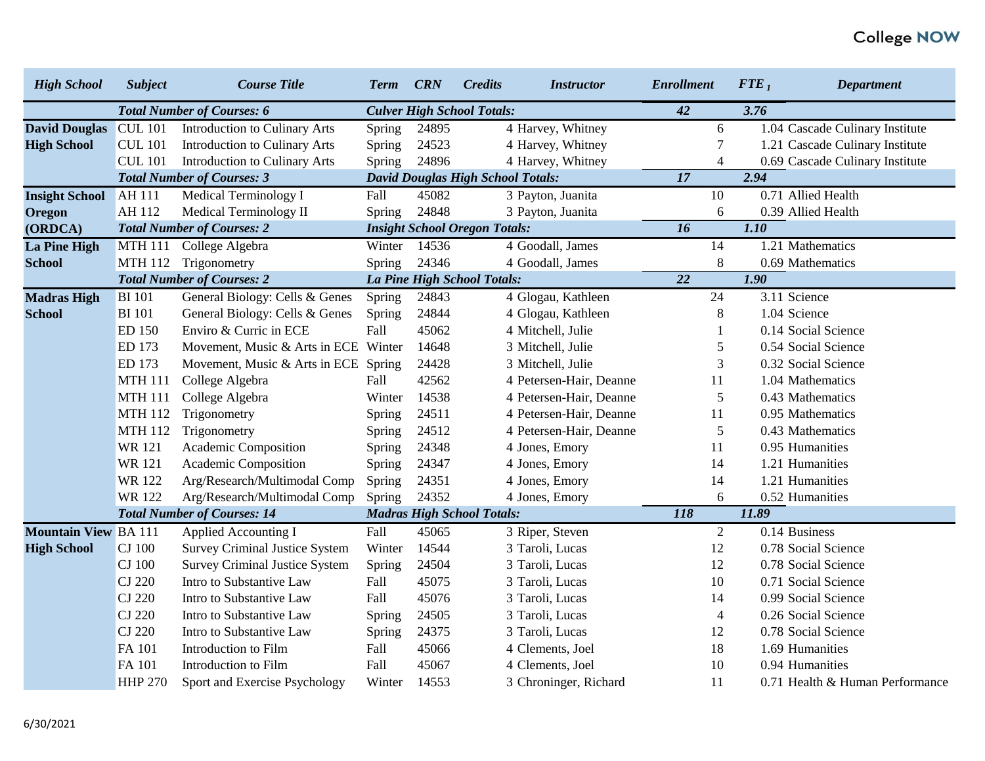| <b>High School</b>          | <b>Subject</b> | <b>Course Title</b>                   | <b>Term</b>                       | <b>CRN</b> | <b>Credits</b>                           | <i><b>Instructor</b></i> | <b>Enrollment</b> | ${FTE}_1$ | <b>Department</b>               |
|-----------------------------|----------------|---------------------------------------|-----------------------------------|------------|------------------------------------------|--------------------------|-------------------|-----------|---------------------------------|
|                             |                | <b>Total Number of Courses: 6</b>     | <b>Culver High School Totals:</b> |            |                                          |                          | 42                | 3.76      |                                 |
| <b>David Douglas</b>        | <b>CUL 101</b> | <b>Introduction to Culinary Arts</b>  | Spring                            | 24895      |                                          | 4 Harvey, Whitney        | 6                 |           | 1.04 Cascade Culinary Institute |
| <b>High School</b>          | <b>CUL 101</b> | <b>Introduction to Culinary Arts</b>  | Spring                            | 24523      |                                          | 4 Harvey, Whitney        | 7                 |           | 1.21 Cascade Culinary Institute |
|                             | <b>CUL 101</b> | Introduction to Culinary Arts         | Spring                            | 24896      |                                          | 4 Harvey, Whitney        | $\overline{4}$    |           | 0.69 Cascade Culinary Institute |
|                             |                | <b>Total Number of Courses: 3</b>     |                                   |            | <b>David Douglas High School Totals:</b> |                          | $\overline{17}$   | 2.94      |                                 |
| <b>Insight School</b>       | <b>AH 111</b>  | Medical Terminology I                 | Fall                              | 45082      |                                          | 3 Payton, Juanita        | 10                |           | 0.71 Allied Health              |
| Oregon                      | AH 112         | Medical Terminology II                | <b>Spring</b>                     | 24848      |                                          | 3 Payton, Juanita        | 6                 |           | 0.39 Allied Health              |
| (ORDCA)                     |                | <b>Total Number of Courses: 2</b>     |                                   |            | <b>Insight School Oregon Totals:</b>     |                          | 16                | 1.10      |                                 |
| <b>La Pine High</b>         | <b>MTH 111</b> | College Algebra                       | Winter 14536                      |            |                                          | 4 Goodall, James         | 14                |           | 1.21 Mathematics                |
| <b>School</b>               | <b>MTH 112</b> | Trigonometry                          | Spring                            | 24346      |                                          | 4 Goodall, James         | 8                 |           | 0.69 Mathematics                |
|                             |                | <b>Total Number of Courses: 2</b>     |                                   |            | La Pine High School Totals:              |                          | $\overline{22}$   | 1.90      |                                 |
| <b>Madras High</b>          | <b>BI</b> 101  | General Biology: Cells & Genes        | Spring                            | 24843      |                                          | 4 Glogau, Kathleen       | 24                |           | 3.11 Science                    |
| <b>School</b>               | <b>BI</b> 101  | General Biology: Cells & Genes        | Spring                            | 24844      |                                          | 4 Glogau, Kathleen       | 8                 |           | 1.04 Science                    |
|                             | ED 150         | Enviro & Curric in ECE                | Fall                              | 45062      |                                          | 4 Mitchell, Julie        |                   |           | 0.14 Social Science             |
|                             | ED 173         | Movement, Music & Arts in ECE Winter  |                                   | 14648      |                                          | 3 Mitchell, Julie        | 5                 |           | 0.54 Social Science             |
|                             | ED 173         | Movement, Music & Arts in ECE Spring  |                                   | 24428      |                                          | 3 Mitchell, Julie        | 3                 |           | 0.32 Social Science             |
|                             | <b>MTH 111</b> | College Algebra                       | Fall                              | 42562      |                                          | 4 Petersen-Hair, Deanne  | 11                |           | 1.04 Mathematics                |
|                             | <b>MTH 111</b> | College Algebra                       | Winter                            | 14538      |                                          | 4 Petersen-Hair, Deanne  | 5                 |           | 0.43 Mathematics                |
|                             | <b>MTH 112</b> | Trigonometry                          | Spring                            | 24511      |                                          | 4 Petersen-Hair, Deanne  | 11                |           | 0.95 Mathematics                |
|                             | <b>MTH 112</b> | Trigonometry                          | <b>Spring</b>                     | 24512      |                                          | 4 Petersen-Hair, Deanne  | 5                 |           | 0.43 Mathematics                |
|                             | <b>WR121</b>   | Academic Composition                  | Spring                            | 24348      |                                          | 4 Jones, Emory           | 11                |           | 0.95 Humanities                 |
|                             | <b>WR121</b>   | Academic Composition                  | <b>Spring</b>                     | 24347      |                                          | 4 Jones, Emory           | 14                |           | 1.21 Humanities                 |
|                             | <b>WR122</b>   | Arg/Research/Multimodal Comp          | Spring                            | 24351      |                                          | 4 Jones, Emory           | 14                |           | 1.21 Humanities                 |
|                             | <b>WR122</b>   | Arg/Research/Multimodal Comp          | Spring                            | 24352      |                                          | 4 Jones, Emory           | 6                 |           | 0.52 Humanities                 |
|                             |                | <b>Total Number of Courses: 14</b>    |                                   |            | <b>Madras High School Totals:</b>        |                          | <b>118</b>        | 11.89     |                                 |
| <b>Mountain View BA 111</b> |                | Applied Accounting I                  | Fall                              | 45065      |                                          | 3 Riper, Steven          | $\overline{2}$    |           | 0.14 Business                   |
| <b>High School</b>          | <b>CJ</b> 100  | <b>Survey Criminal Justice System</b> | Winter                            | 14544      |                                          | 3 Taroli, Lucas          | 12                |           | 0.78 Social Science             |
|                             | <b>CJ</b> 100  | <b>Survey Criminal Justice System</b> | Spring                            | 24504      |                                          | 3 Taroli, Lucas          | 12                |           | 0.78 Social Science             |
|                             | <b>CJ</b> 220  | Intro to Substantive Law              | Fall                              | 45075      |                                          | 3 Taroli, Lucas          | 10                |           | 0.71 Social Science             |
|                             | <b>CJ 220</b>  | Intro to Substantive Law              | Fall                              | 45076      |                                          | 3 Taroli, Lucas          | 14                |           | 0.99 Social Science             |
|                             | CJ 220         | Intro to Substantive Law              | Spring                            | 24505      |                                          | 3 Taroli, Lucas          | $\overline{4}$    |           | 0.26 Social Science             |
|                             | CJ 220         | Intro to Substantive Law              | <b>Spring</b>                     | 24375      |                                          | 3 Taroli, Lucas          | 12                |           | 0.78 Social Science             |
|                             | FA 101         | Introduction to Film                  | Fall                              | 45066      |                                          | 4 Clements, Joel         | 18                |           | 1.69 Humanities                 |
|                             | FA 101         | Introduction to Film                  | Fall                              | 45067      |                                          | 4 Clements, Joel         | 10                |           | 0.94 Humanities                 |
|                             | <b>HHP 270</b> | Sport and Exercise Psychology         | Winter                            | 14553      |                                          | 3 Chroninger, Richard    | 11                |           | 0.71 Health & Human Performance |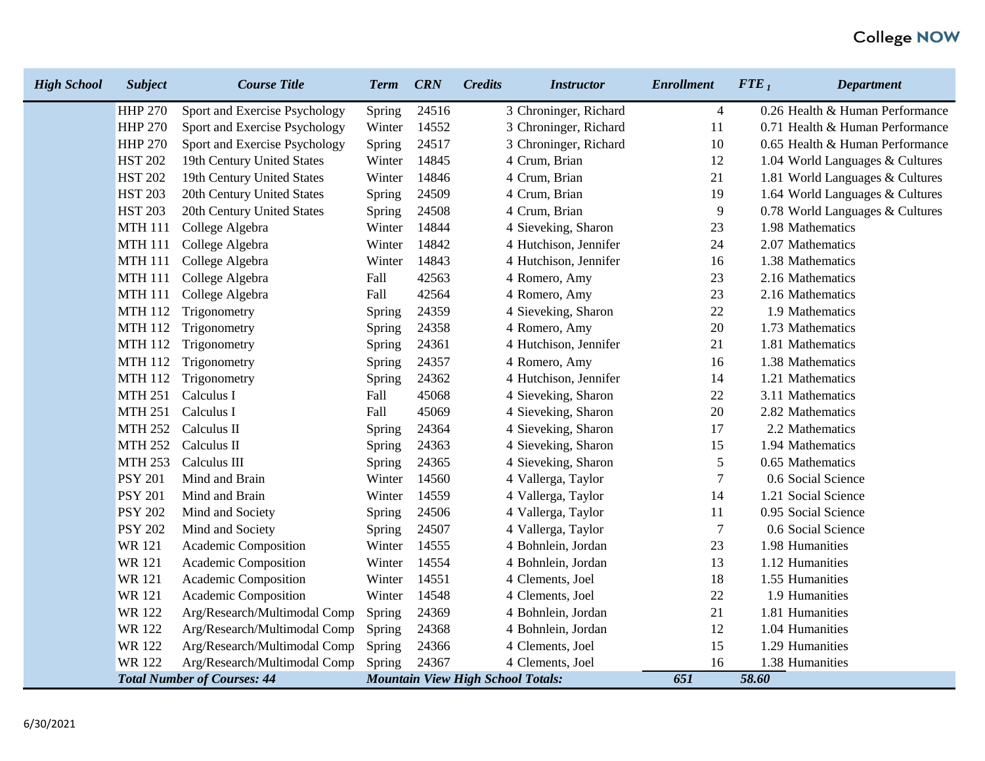| <b>High School</b> | <b>Subject</b> | <b>Course Title</b>                | <b>Term</b>   | <b>CRN</b> | <b>Credits</b><br><b>Instructor</b>      | <b>Enrollment</b> | ${FTE}_1$<br><b>Department</b>  |
|--------------------|----------------|------------------------------------|---------------|------------|------------------------------------------|-------------------|---------------------------------|
|                    | <b>HHP 270</b> | Sport and Exercise Psychology      | <b>Spring</b> | 24516      | 3 Chroninger, Richard                    | 4                 | 0.26 Health & Human Performance |
|                    | <b>HHP 270</b> | Sport and Exercise Psychology      | Winter        | 14552      | 3 Chroninger, Richard                    | 11                | 0.71 Health & Human Performance |
|                    | <b>HHP 270</b> | Sport and Exercise Psychology      | <b>Spring</b> | 24517      | 3 Chroninger, Richard                    | 10                | 0.65 Health & Human Performance |
|                    | <b>HST 202</b> | 19th Century United States         | Winter        | 14845      | 4 Crum, Brian                            | 12                | 1.04 World Languages & Cultures |
|                    | <b>HST 202</b> | 19th Century United States         | Winter        | 14846      | 4 Crum, Brian                            | 21                | 1.81 World Languages & Cultures |
|                    | <b>HST 203</b> | 20th Century United States         | <b>Spring</b> | 24509      | 4 Crum, Brian                            | 19                | 1.64 World Languages & Cultures |
|                    | <b>HST 203</b> | 20th Century United States         | <b>Spring</b> | 24508      | 4 Crum, Brian                            | 9                 | 0.78 World Languages & Cultures |
|                    | <b>MTH 111</b> | College Algebra                    | Winter        | 14844      | 4 Sieveking, Sharon                      | 23                | 1.98 Mathematics                |
|                    | <b>MTH 111</b> | College Algebra                    | Winter        | 14842      | 4 Hutchison, Jennifer                    | 24                | 2.07 Mathematics                |
|                    | <b>MTH 111</b> | College Algebra                    | Winter        | 14843      | 4 Hutchison, Jennifer                    | 16                | 1.38 Mathematics                |
|                    | <b>MTH 111</b> | College Algebra                    | Fall          | 42563      | 4 Romero, Amy                            | 23                | 2.16 Mathematics                |
|                    | <b>MTH 111</b> | College Algebra                    | Fall          | 42564      | 4 Romero, Amy                            | 23                | 2.16 Mathematics                |
|                    | <b>MTH 112</b> | Trigonometry                       | <b>Spring</b> | 24359      | 4 Sieveking, Sharon                      | 22                | 1.9 Mathematics                 |
|                    | <b>MTH 112</b> | Trigonometry                       | <b>Spring</b> | 24358      | 4 Romero, Amy                            | 20                | 1.73 Mathematics                |
|                    | <b>MTH 112</b> | Trigonometry                       | Spring        | 24361      | 4 Hutchison, Jennifer                    | 21                | 1.81 Mathematics                |
|                    | <b>MTH 112</b> | Trigonometry                       | <b>Spring</b> | 24357      | 4 Romero, Amy                            | 16                | 1.38 Mathematics                |
|                    | <b>MTH 112</b> | Trigonometry                       | <b>Spring</b> | 24362      | 4 Hutchison, Jennifer                    | 14                | 1.21 Mathematics                |
|                    | <b>MTH 251</b> | Calculus I                         | Fall          | 45068      | 4 Sieveking, Sharon                      | 22                | 3.11 Mathematics                |
|                    | <b>MTH 251</b> | Calculus I                         | Fall          | 45069      | 4 Sieveking, Sharon                      | 20                | 2.82 Mathematics                |
|                    | <b>MTH 252</b> | Calculus II                        | <b>Spring</b> | 24364      | 4 Sieveking, Sharon                      | 17                | 2.2 Mathematics                 |
|                    | <b>MTH 252</b> | Calculus II                        | <b>Spring</b> | 24363      | 4 Sieveking, Sharon                      | 15                | 1.94 Mathematics                |
|                    | <b>MTH 253</b> | Calculus III                       | Spring        | 24365      | 4 Sieveking, Sharon                      | 5                 | 0.65 Mathematics                |
|                    | <b>PSY 201</b> | Mind and Brain                     | Winter        | 14560      | 4 Vallerga, Taylor                       | $\tau$            | 0.6 Social Science              |
|                    | <b>PSY 201</b> | Mind and Brain                     | Winter        | 14559      | 4 Vallerga, Taylor                       | 14                | 1.21 Social Science             |
|                    | <b>PSY 202</b> | Mind and Society                   | <b>Spring</b> | 24506      | 4 Vallerga, Taylor                       | 11                | 0.95 Social Science             |
|                    | <b>PSY 202</b> | Mind and Society                   | <b>Spring</b> | 24507      | 4 Vallerga, Taylor                       | $\tau$            | 0.6 Social Science              |
|                    | <b>WR121</b>   | Academic Composition               | Winter        | 14555      | 4 Bohnlein, Jordan                       | 23                | 1.98 Humanities                 |
|                    | <b>WR121</b>   | Academic Composition               | Winter        | 14554      | 4 Bohnlein, Jordan                       | 13                | 1.12 Humanities                 |
|                    | <b>WR121</b>   | Academic Composition               | Winter        | 14551      | 4 Clements, Joel                         | 18                | 1.55 Humanities                 |
|                    | <b>WR121</b>   | Academic Composition               | Winter        | 14548      | 4 Clements, Joel                         | 22                | 1.9 Humanities                  |
|                    | <b>WR122</b>   | Arg/Research/Multimodal Comp       | <b>Spring</b> | 24369      | 4 Bohnlein, Jordan                       | 21                | 1.81 Humanities                 |
|                    | <b>WR122</b>   | Arg/Research/Multimodal Comp       | <b>Spring</b> | 24368      | 4 Bohnlein, Jordan                       | 12                | 1.04 Humanities                 |
|                    | <b>WR122</b>   | Arg/Research/Multimodal Comp       | Spring        | 24366      | 4 Clements, Joel                         | 15                | 1.29 Humanities                 |
|                    | <b>WR122</b>   | Arg/Research/Multimodal Comp       | Spring        | 24367      | 4 Clements, Joel                         | 16                | 1.38 Humanities                 |
|                    |                | <b>Total Number of Courses: 44</b> |               |            | <b>Mountain View High School Totals:</b> | 651               | 58.60                           |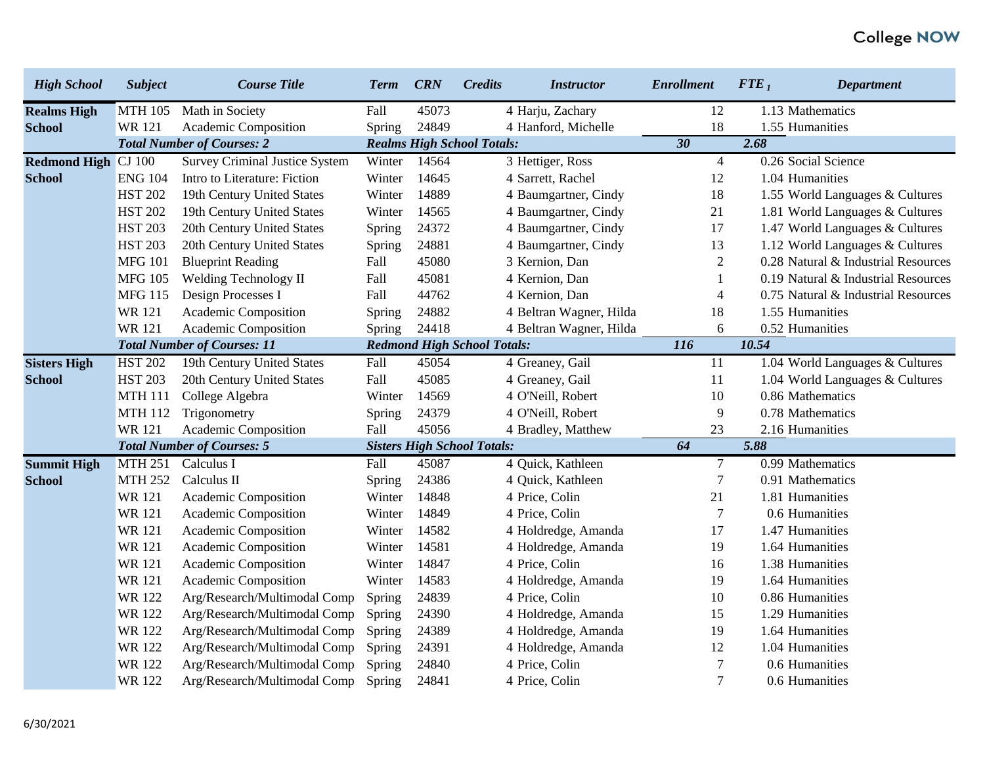| <b>High School</b>  | <b>Subject</b> | <b>Course Title</b>                   | <b>Term</b>   | <b>CRN</b> | <b>Credits</b><br><b>Instructor</b> | <b>Enrollment</b> | ${FTE}_1$ | <b>Department</b>                   |
|---------------------|----------------|---------------------------------------|---------------|------------|-------------------------------------|-------------------|-----------|-------------------------------------|
| <b>Realms High</b>  | <b>MTH 105</b> | Math in Society                       | Fall          | 45073      | 4 Harju, Zachary                    | 12                |           | 1.13 Mathematics                    |
| <b>School</b>       | <b>WR121</b>   | Academic Composition                  | <b>Spring</b> | 24849      | 4 Hanford, Michelle                 | 18                |           | 1.55 Humanities                     |
|                     |                | <b>Total Number of Courses: 2</b>     |               |            | <b>Realms High School Totals:</b>   | 30                | 2.68      |                                     |
| <b>Redmond High</b> | <b>CJ</b> 100  | <b>Survey Criminal Justice System</b> | Winter        | 14564      | 3 Hettiger, Ross                    | $\overline{4}$    |           | 0.26 Social Science                 |
| <b>School</b>       | <b>ENG 104</b> | Intro to Literature: Fiction          | Winter        | 14645      | 4 Sarrett, Rachel                   | 12                |           | 1.04 Humanities                     |
|                     | <b>HST 202</b> | 19th Century United States            | Winter        | 14889      | 4 Baumgartner, Cindy                | 18                |           | 1.55 World Languages & Cultures     |
|                     | <b>HST 202</b> | 19th Century United States            | Winter        | 14565      | 4 Baumgartner, Cindy                | 21                |           | 1.81 World Languages & Cultures     |
|                     | <b>HST 203</b> | 20th Century United States            | Spring        | 24372      | 4 Baumgartner, Cindy                | 17                |           | 1.47 World Languages & Cultures     |
|                     | <b>HST 203</b> | 20th Century United States            | Spring        | 24881      | 4 Baumgartner, Cindy                | 13                |           | 1.12 World Languages & Cultures     |
|                     | <b>MFG 101</b> | <b>Blueprint Reading</b>              | Fall          | 45080      | 3 Kernion, Dan                      | $\mathbf{2}$      |           | 0.28 Natural & Industrial Resources |
|                     | <b>MFG 105</b> | Welding Technology II                 | Fall          | 45081      | 4 Kernion, Dan                      | $\mathbf{1}$      |           | 0.19 Natural & Industrial Resources |
|                     | <b>MFG 115</b> | Design Processes I                    | Fall          | 44762      | 4 Kernion, Dan                      | $\overline{4}$    |           | 0.75 Natural & Industrial Resources |
|                     | <b>WR121</b>   | Academic Composition                  | Spring        | 24882      | 4 Beltran Wagner, Hilda             | 18                |           | 1.55 Humanities                     |
|                     | <b>WR121</b>   | Academic Composition                  | Spring        | 24418      | 4 Beltran Wagner, Hilda             | 6                 |           | 0.52 Humanities                     |
|                     |                | <b>Total Number of Courses: 11</b>    |               |            | <b>Redmond High School Totals:</b>  | <b>116</b>        | 10.54     |                                     |
| <b>Sisters High</b> | <b>HST 202</b> | 19th Century United States            | Fall          | 45054      | 4 Greaney, Gail                     | 11                |           | 1.04 World Languages & Cultures     |
| <b>School</b>       | <b>HST 203</b> | 20th Century United States            | Fall          | 45085      | 4 Greaney, Gail                     | 11                |           | 1.04 World Languages & Cultures     |
|                     | <b>MTH 111</b> | College Algebra                       | Winter        | 14569      | 4 O'Neill, Robert                   | 10                |           | 0.86 Mathematics                    |
|                     | <b>MTH 112</b> | Trigonometry                          | Spring        | 24379      | 4 O'Neill, Robert                   | 9                 |           | 0.78 Mathematics                    |
|                     | <b>WR121</b>   | Academic Composition                  | Fall          | 45056      | 4 Bradley, Matthew                  | 23                |           | 2.16 Humanities                     |
|                     |                | <b>Total Number of Courses: 5</b>     |               |            | <b>Sisters High School Totals:</b>  | 64                | 5.88      |                                     |
| <b>Summit High</b>  | <b>MTH 251</b> | Calculus I                            | Fall          | 45087      | 4 Quick, Kathleen                   | $\tau$            |           | 0.99 Mathematics                    |
| <b>School</b>       | <b>MTH 252</b> | Calculus II                           | Spring        | 24386      | 4 Quick, Kathleen                   | $\overline{7}$    |           | 0.91 Mathematics                    |
|                     | <b>WR121</b>   | Academic Composition                  | Winter        | 14848      | 4 Price, Colin                      | 21                |           | 1.81 Humanities                     |
|                     | <b>WR121</b>   | Academic Composition                  | Winter        | 14849      | 4 Price, Colin                      | $\overline{7}$    |           | 0.6 Humanities                      |
|                     | <b>WR</b> 121  | Academic Composition                  | Winter        | 14582      | 4 Holdredge, Amanda                 | 17                |           | 1.47 Humanities                     |
|                     | <b>WR121</b>   | Academic Composition                  | Winter        | 14581      | 4 Holdredge, Amanda                 | 19                |           | 1.64 Humanities                     |
|                     | <b>WR121</b>   | Academic Composition                  | Winter        | 14847      | 4 Price, Colin                      | 16                |           | 1.38 Humanities                     |
|                     | <b>WR121</b>   | Academic Composition                  | Winter        | 14583      | 4 Holdredge, Amanda                 | 19                |           | 1.64 Humanities                     |
|                     | <b>WR122</b>   | Arg/Research/Multimodal Comp          | Spring        | 24839      | 4 Price, Colin                      | 10                |           | 0.86 Humanities                     |
|                     | <b>WR122</b>   | Arg/Research/Multimodal Comp          | Spring        | 24390      | 4 Holdredge, Amanda                 | 15                |           | 1.29 Humanities                     |
|                     | <b>WR122</b>   | Arg/Research/Multimodal Comp          | Spring        | 24389      | 4 Holdredge, Amanda                 | 19                |           | 1.64 Humanities                     |
|                     | <b>WR122</b>   | Arg/Research/Multimodal Comp          | Spring        | 24391      | 4 Holdredge, Amanda                 | 12                |           | 1.04 Humanities                     |
|                     | <b>WR122</b>   | Arg/Research/Multimodal Comp          | Spring        | 24840      | 4 Price, Colin                      | $\overline{7}$    |           | 0.6 Humanities                      |
|                     | <b>WR122</b>   | Arg/Research/Multimodal Comp          | Spring        | 24841      | 4 Price, Colin                      | $\overline{7}$    |           | 0.6 Humanities                      |